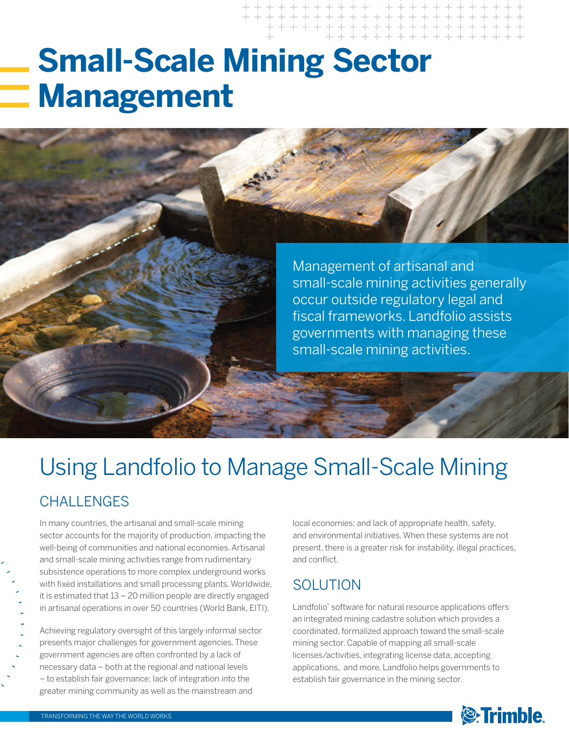# **Small-Scale Mining Sector Management**



# Using Landfolio to Manage Small-Scale Mining

### **CHALLENGES**

In many countries, the artisanal and small-scale mining sector accounts for the majority of production, impacting the well-being of communities and national economies. Artisanal and small-scale mining activities range from rudimentary subsistence operations to more complex underground works with fixed installations and small processing plants. Worldwide, it is estimated that 13 – 20 million people are directly engaged in artisanal operations in over 50 countries (World Bank, EITI).

Achieving regulatory oversight of this largely informal sector presents major challenges for government agencies. These government agencies are often confronted by a lack of necessary data – both at the regional and national levels – to establish fair governance; lack of integration into the greater mining community as well as the mainstream and

local economies; and lack of appropriate health, safety, and environmental initiatives. When these systems are not present, there is a greater risk for instability, illegal practices, and conflict.

### **SOLUTION**

Landfolio® software for natural resource applications offers an integrated mining cadastre solution which provides a coordinated, formalized approach toward the small-scale mining sector. Capable of mapping all small-scale licenses/activities, integrating license data, accepting applications, and more, Landfolio helps governments to establish fair governance in the mining sector.